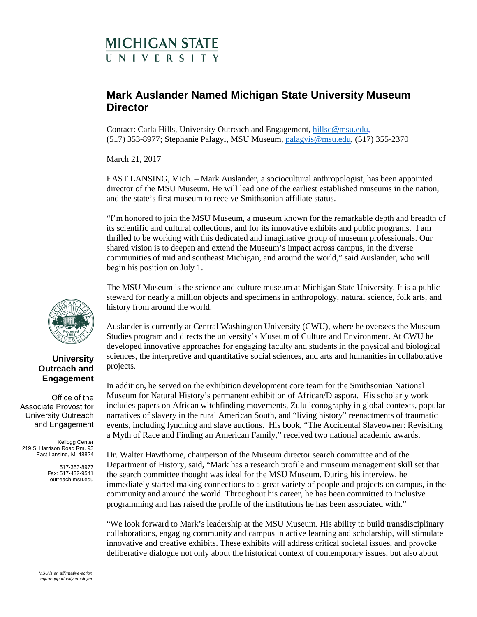## **MICHIGAN STATE INIVERSITY**

## **Mark Auslander Named Michigan State University Museum Director**

Contact: Carla Hills, University Outreach and Engagement, [hillsc@msu.edu,](mailto:hillsc@msu.edu) (517) 353-8977; Stephanie Palagyi, MSU Museum, [palagyis@msu.edu,](mailto:palagyis@msu.edu) (517) 355-2370

March 21, 2017

EAST LANSING, Mich. – Mark Auslander, a sociocultural anthropologist, has been appointed director of the MSU Museum. He will lead one of the earliest established museums in the nation, and the state's first museum to receive Smithsonian affiliate status.

"I'm honored to join the MSU Museum, a museum known for the remarkable depth and breadth of its scientific and cultural collections, and for its innovative exhibits and public programs. I am thrilled to be working with this dedicated and imaginative group of museum professionals. Our shared vision is to deepen and extend the Museum's impact across campus, in the diverse communities of mid and southeast Michigan, and around the world," said Auslander, who will begin his position on July 1.

The MSU Museum is the science and culture museum at Michigan State University. It is a public steward for nearly a million objects and specimens in anthropology, natural science, folk arts, and history from around the world.

Auslander is currently at Central Washington University (CWU), where he oversees the Museum Studies program and directs the university's Museum of Culture and Environment. At CWU he developed innovative approaches for engaging faculty and students in the physical and biological sciences, the interpretive and quantitative social sciences, and arts and humanities in collaborative projects.

In addition, he served on the exhibition development core team for the Smithsonian National Museum for Natural History's permanent exhibition of African/Diaspora. His scholarly work includes papers on African witchfinding movements, Zulu iconography in global contexts, popular narratives of slavery in the rural American South, and "living history" reenactments of traumatic events, including lynching and slave auctions. His book, "The Accidental Slaveowner: Revisiting a Myth of Race and Finding an American Family," received two national academic awards.

Dr. Walter Hawthorne, chairperson of the Museum director search committee and of the Department of History, said, "Mark has a research profile and museum management skill set that the search committee thought was ideal for the MSU Museum. During his interview, he immediately started making connections to a great variety of people and projects on campus, in the community and around the world. Throughout his career, he has been committed to inclusive programming and has raised the profile of the institutions he has been associated with."

"We look forward to Mark's leadership at the MSU Museum. His ability to build transdisciplinary collaborations, engaging community and campus in active learning and scholarship, will stimulate innovative and creative exhibits. These exhibits will address critical societal issues, and provoke deliberative dialogue not only about the historical context of contemporary issues, but also about



## **University Outreach and Engagement**

Office of the Associate Provost for University Outreach and Engagement

Kellogg Center 219 S. Harrison Road Rm. 93 East Lansing, MI 48824

> 517-353-8977 Fax: 517-432-9541 outreach.msu.edu